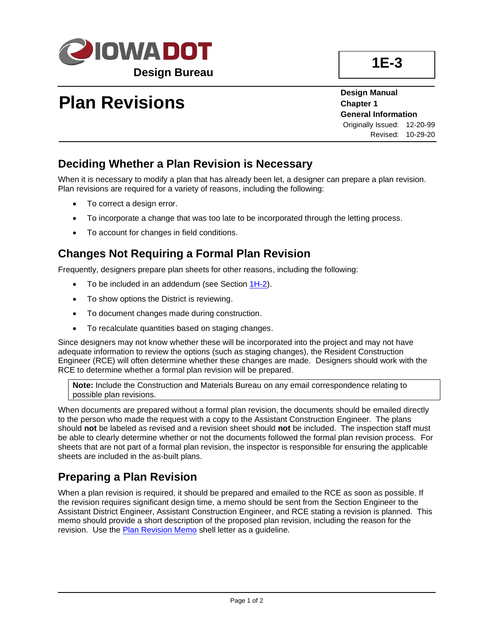

# **Plan Revisions**

**Design Manual Chapter 1 General Information** Originally Issued: 12-20-99 Revised: 10-29-20

#### **Deciding Whether a Plan Revision is Necessary**

When it is necessary to modify a plan that has already been let, a designer can prepare a plan revision. Plan revisions are required for a variety of reasons, including the following:

- To correct a design error.
- To incorporate a change that was too late to be incorporated through the letting process.
- To account for changes in field conditions.

### **Changes Not Requiring a Formal Plan Revision**

Frequently, designers prepare plan sheets for other reasons, including the following:

- To be included in an addendum (see Section [1H-2\)](01H-02.pdf).
- To show options the District is reviewing.
- To document changes made during construction.
- To recalculate quantities based on staging changes.

Since designers may not know whether these will be incorporated into the project and may not have adequate information to review the options (such as staging changes), the Resident Construction Engineer (RCE) will often determine whether these changes are made. Designers should work with the RCE to determine whether a formal plan revision will be prepared.

**Note:** Include the Construction and Materials Bureau on any email correspondence relating to possible plan revisions.

When documents are prepared without a formal plan revision, the documents should be emailed directly to the person who made the request with a copy to the Assistant Construction Engineer. The plans should **not** be labeled as revised and a revision sheet should **not** be included. The inspection staff must be able to clearly determine whether or not the documents followed the formal plan revision process. For sheets that are not part of a formal plan revision, the inspector is responsible for ensuring the applicable sheets are included in the as-built plans.

### **Preparing a Plan Revision**

When a plan revision is required, it should be prepared and emailed to the RCE as soon as possible. If the revision requires significant design time, a memo should be sent from the Section Engineer to the Assistant District Engineer, Assistant Construction Engineer, and RCE stating a revision is planned. This memo should provide a short description of the proposed plan revision, including the reason for the revision. Use the [Plan Revision Memo](../ShellLetters/PlanRevisionLetters/Memo.docx) shell letter as a guideline.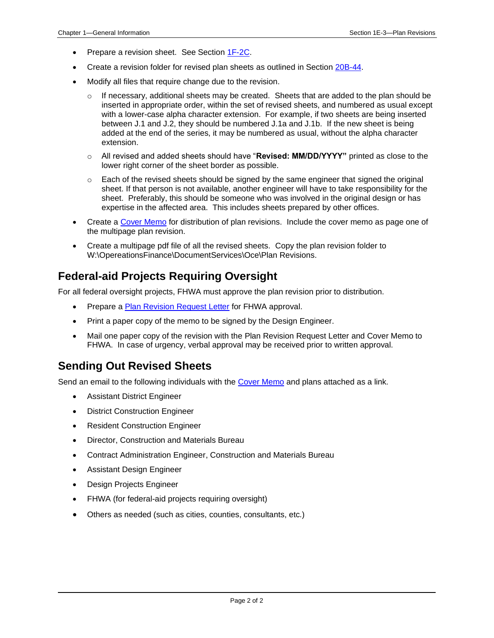- Prepare a revision sheet. See Section [1F-2C.](01F-02C.pdf)
- Create a revision folder for revised plan sheets as outlined in Section [20B-44.](20B-44.pdf)
- Modify all files that require change due to the revision.
	- $\circ$  If necessary, additional sheets may be created. Sheets that are added to the plan should be inserted in appropriate order, within the set of revised sheets, and numbered as usual except with a lower-case alpha character extension. For example, if two sheets are being inserted between J.1 and J.2, they should be numbered J.1a and J.1b. If the new sheet is being added at the end of the series, it may be numbered as usual, without the alpha character extension.
	- o All revised and added sheets should have "**Revised: MM/DD/YYYY"** printed as close to the lower right corner of the sheet border as possible.
	- $\circ$  Each of the revised sheets should be signed by the same engineer that signed the original sheet. If that person is not available, another engineer will have to take responsibility for the sheet. Preferably, this should be someone who was involved in the original design or has expertise in the affected area. This includes sheets prepared by other offices.
- Create a [Cover Memo](../ShellLetters/PlanRevisionLetters/CoverMemo.docx) for distribution of plan revisions. Include the cover memo as page one of the multipage plan revision.
- Create a multipage pdf file of all the revised sheets. Copy the plan revision folder to W:\OpereationsFinance\DocumentServices\Oce\Plan Revisions.

#### **Federal-aid Projects Requiring Oversight**

For all federal oversight projects, FHWA must approve the plan revision prior to distribution.

- Prepare [a Plan Revision Request Letter](../ShellLetters/PlanRevisionLetters/FHWALetter.docx) for FHWA approval.
- Print a paper copy of the memo to be signed by the Design Engineer.
- Mail one paper copy of the revision with the Plan Revision Request Letter and Cover Memo to FHWA. In case of urgency, verbal approval may be received prior to written approval.

#### **Sending Out Revised Sheets**

Send an email to the following individuals with the [Cover Memo](../ShellLetters/PlanRevisionLetters/CoverMemo.docx) and plans attached as a link.

- Assistant District Engineer
- District Construction Engineer
- Resident Construction Engineer
- Director, Construction and Materials Bureau
- Contract Administration Engineer, Construction and Materials Bureau
- Assistant Design Engineer
- Design Projects Engineer
- FHWA (for federal-aid projects requiring oversight)
- Others as needed (such as cities, counties, consultants, etc.)